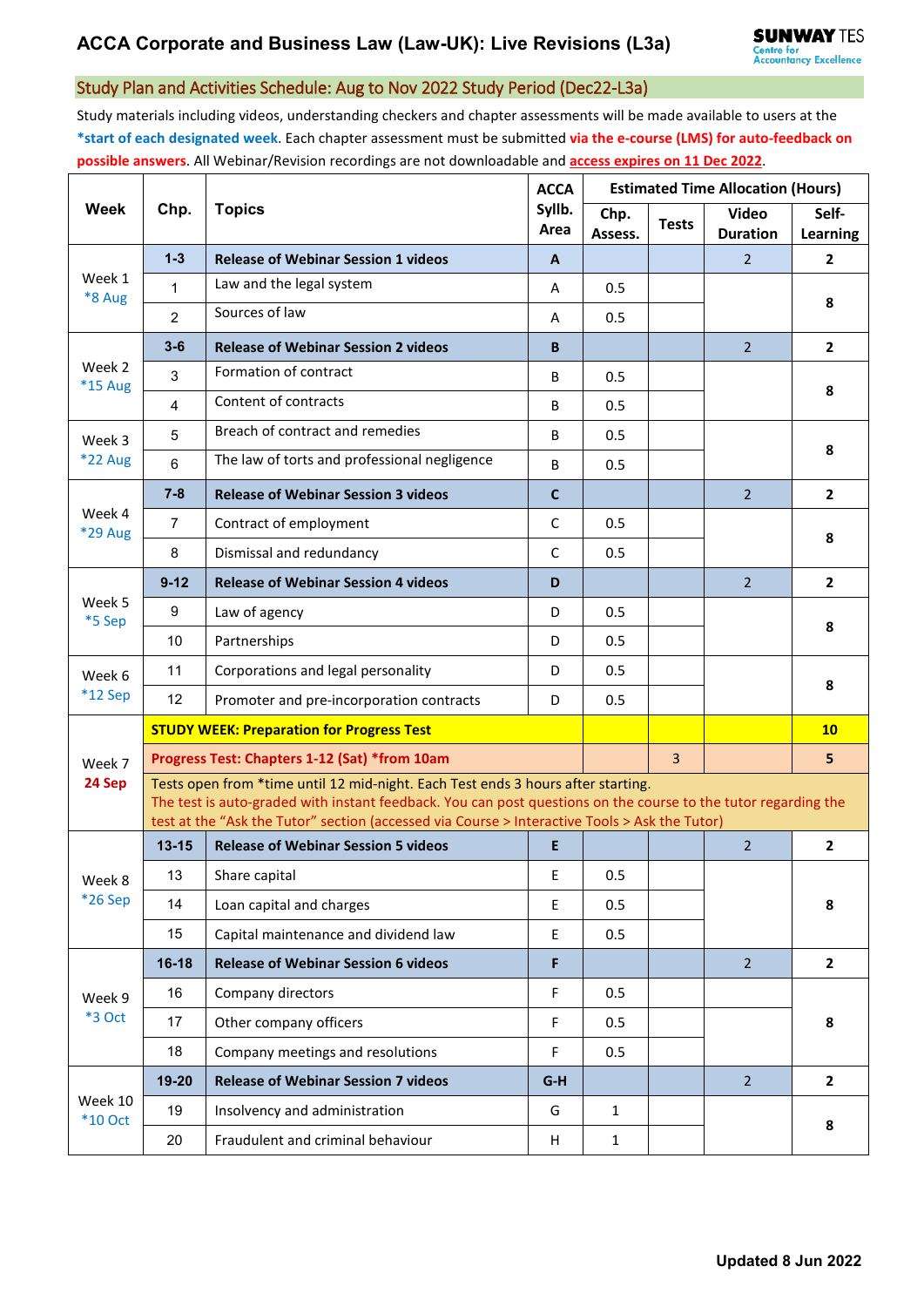## Study Plan and Activities Schedule: Aug to Nov 2022 Study Period (Dec22-L3a)

Study materials including videos, understanding checkers and chapter assessments will be made available to users at the **\*start of each designated week**. Each chapter assessment must be submitted **via the e-course (LMS) for auto-feedback on possible answers**. All Webinar/Revision recordings are not downloadable and **access expires on 11 Dec 2022**.

| <b>Week</b>          | Chp.                                                                                                                                                                                                                                                                                                | <b>Topics</b>                                 | <b>ACCA</b><br>Syllb.<br>Area | <b>Estimated Time Allocation (Hours)</b> |                |                                 |                   |  |  |
|----------------------|-----------------------------------------------------------------------------------------------------------------------------------------------------------------------------------------------------------------------------------------------------------------------------------------------------|-----------------------------------------------|-------------------------------|------------------------------------------|----------------|---------------------------------|-------------------|--|--|
|                      |                                                                                                                                                                                                                                                                                                     |                                               |                               | Chp.<br>Assess.                          | <b>Tests</b>   | <b>Video</b><br><b>Duration</b> | Self-<br>Learning |  |  |
| Week 1<br>*8 Aug     | $1 - 3$                                                                                                                                                                                                                                                                                             | <b>Release of Webinar Session 1 videos</b>    | A                             |                                          |                | $\overline{2}$                  | $\mathbf{2}$      |  |  |
|                      | 1                                                                                                                                                                                                                                                                                                   | Law and the legal system                      | A                             | 0.5                                      |                |                                 | 8                 |  |  |
|                      | $\overline{2}$                                                                                                                                                                                                                                                                                      | Sources of law                                | A                             | 0.5                                      |                |                                 |                   |  |  |
| Week 2<br>*15 Aug    | $3 - 6$                                                                                                                                                                                                                                                                                             | <b>Release of Webinar Session 2 videos</b>    | B                             |                                          |                | $\overline{2}$                  | $\overline{2}$    |  |  |
|                      | 3                                                                                                                                                                                                                                                                                                   | Formation of contract                         | B                             | 0.5                                      |                |                                 | 8                 |  |  |
|                      | 4                                                                                                                                                                                                                                                                                                   | Content of contracts                          | B                             | 0.5                                      |                |                                 |                   |  |  |
| Week 3<br>$*22$ Aug  | 5                                                                                                                                                                                                                                                                                                   | Breach of contract and remedies               | B                             | 0.5                                      |                |                                 | 8                 |  |  |
|                      | $6\phantom{1}$                                                                                                                                                                                                                                                                                      | The law of torts and professional negligence  | B                             | 0.5                                      |                |                                 |                   |  |  |
| Week 4<br>*29 Aug    | $7 - 8$                                                                                                                                                                                                                                                                                             | <b>Release of Webinar Session 3 videos</b>    | $\mathbf{C}$                  |                                          |                | $\overline{2}$                  | $\mathbf{2}$      |  |  |
|                      | $\overline{7}$                                                                                                                                                                                                                                                                                      | Contract of employment                        | C                             | 0.5                                      |                |                                 | 8                 |  |  |
|                      | 8                                                                                                                                                                                                                                                                                                   | Dismissal and redundancy                      | $\mathsf{C}$                  | 0.5                                      |                |                                 |                   |  |  |
| Week 5<br>*5 Sep     | $9 - 12$                                                                                                                                                                                                                                                                                            | <b>Release of Webinar Session 4 videos</b>    | D                             |                                          |                | $\overline{2}$                  | $\overline{2}$    |  |  |
|                      | 9                                                                                                                                                                                                                                                                                                   | Law of agency                                 | D                             | 0.5                                      |                |                                 | 8                 |  |  |
|                      | 10                                                                                                                                                                                                                                                                                                  | Partnerships                                  | D                             | 0.5                                      |                |                                 |                   |  |  |
| Week 6               | 11                                                                                                                                                                                                                                                                                                  | Corporations and legal personality            | D                             | 0.5                                      |                |                                 | 8                 |  |  |
| $*12$ Sep            | 12                                                                                                                                                                                                                                                                                                  | Promoter and pre-incorporation contracts      | D                             | 0.5                                      |                |                                 |                   |  |  |
|                      | <b>STUDY WEEK: Preparation for Progress Test</b>                                                                                                                                                                                                                                                    |                                               |                               |                                          |                |                                 | 10                |  |  |
| Week 7<br>24 Sep     |                                                                                                                                                                                                                                                                                                     | Progress Test: Chapters 1-12 (Sat) *from 10am |                               |                                          | $\overline{3}$ |                                 | 5                 |  |  |
|                      | Tests open from *time until 12 mid-night. Each Test ends 3 hours after starting.<br>The test is auto-graded with instant feedback. You can post questions on the course to the tutor regarding the<br>test at the "Ask the Tutor" section (accessed via Course > Interactive Tools > Ask the Tutor) |                                               |                               |                                          |                |                                 |                   |  |  |
| Week 8<br>*26 Sep    | $13 - 15$                                                                                                                                                                                                                                                                                           | <b>Release of Webinar Session 5 videos</b>    | E.                            |                                          |                | $\overline{2}$                  | $\overline{2}$    |  |  |
|                      | 13                                                                                                                                                                                                                                                                                                  | Share capital                                 | E.                            | 0.5                                      |                |                                 |                   |  |  |
|                      | 14                                                                                                                                                                                                                                                                                                  | Loan capital and charges                      | E                             | 0.5                                      |                |                                 | 8                 |  |  |
|                      | 15                                                                                                                                                                                                                                                                                                  | Capital maintenance and dividend law          | E                             | 0.5                                      |                |                                 |                   |  |  |
| Week 9<br>*3 Oct     | $16-18$                                                                                                                                                                                                                                                                                             | <b>Release of Webinar Session 6 videos</b>    | F                             |                                          |                | $\overline{2}$                  | $\overline{2}$    |  |  |
|                      | 16                                                                                                                                                                                                                                                                                                  | Company directors                             | F                             | 0.5                                      |                |                                 |                   |  |  |
|                      | 17                                                                                                                                                                                                                                                                                                  | Other company officers                        | F                             | 0.5                                      |                |                                 | 8                 |  |  |
|                      | 18                                                                                                                                                                                                                                                                                                  | Company meetings and resolutions              | F                             | 0.5                                      |                |                                 |                   |  |  |
| Week 10<br>$*10$ Oct | $19 - 20$                                                                                                                                                                                                                                                                                           | <b>Release of Webinar Session 7 videos</b>    | $G-H$                         |                                          |                | $\overline{2}$                  | $\overline{2}$    |  |  |
|                      | 19                                                                                                                                                                                                                                                                                                  | Insolvency and administration                 | G                             | $\mathbf{1}$                             |                |                                 | 8                 |  |  |
|                      | 20                                                                                                                                                                                                                                                                                                  | Fraudulent and criminal behaviour             | H                             | $\mathbf{1}$                             |                |                                 |                   |  |  |